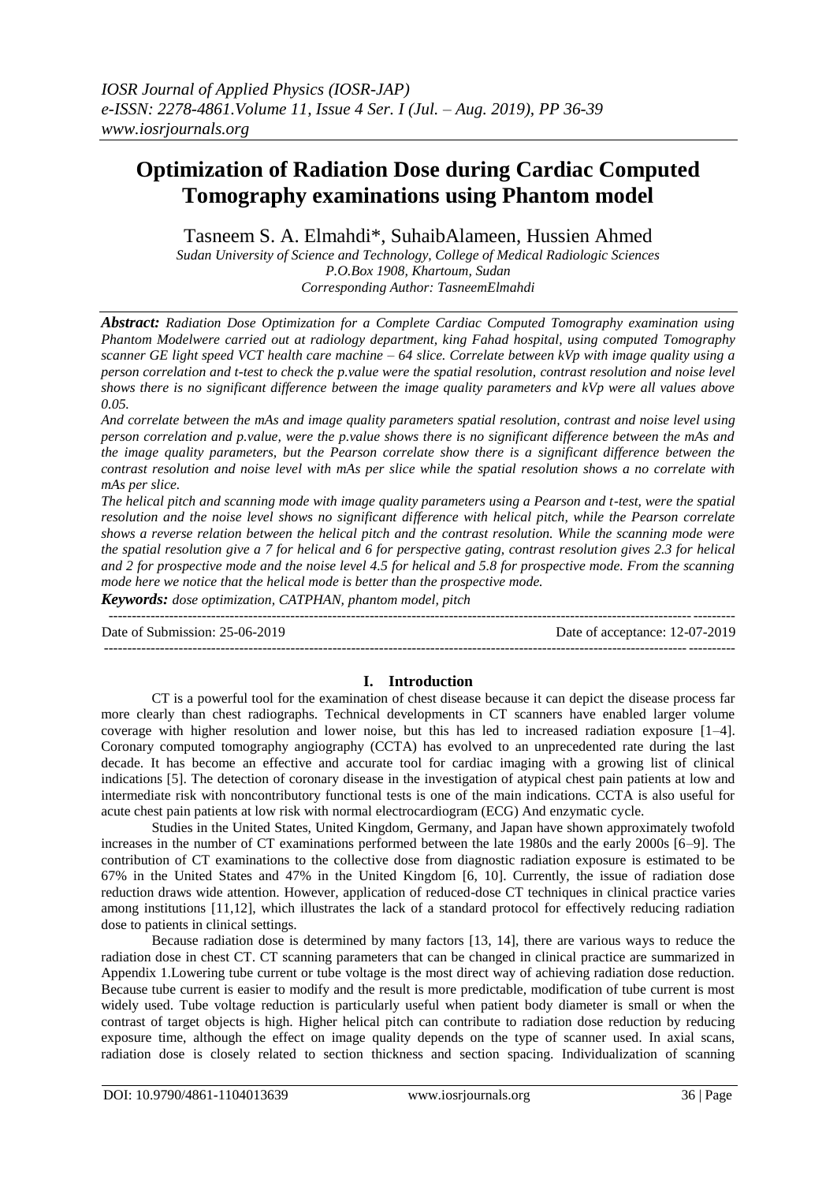# **Optimization of Radiation Dose during Cardiac Computed Tomography examinations using Phantom model**

Tasneem S. A. Elmahdi\*, SuhaibAlameen, Hussien Ahmed

*Sudan University of Science and Technology, College of Medical Radiologic Sciences P.O.Box 1908, Khartoum, Sudan Corresponding Author: TasneemElmahdi*

*Abstract: Radiation Dose Optimization for a Complete Cardiac Computed Tomography examination using Phantom Modelwere carried out at radiology department, king Fahad hospital, using computed Tomography scanner GE light speed VCT health care machine – 64 slice. Correlate between kVp with image quality using a person correlation and t-test to check the p.value were the spatial resolution, contrast resolution and noise level shows there is no significant difference between the image quality parameters and kVp were all values above 0.05.*

*And correlate between the mAs and image quality parameters spatial resolution, contrast and noise level using person correlation and p.value, were the p.value shows there is no significant difference between the mAs and the image quality parameters, but the Pearson correlate show there is a significant difference between the contrast resolution and noise level with mAs per slice while the spatial resolution shows a no correlate with mAs per slice.*

*The helical pitch and scanning mode with image quality parameters using a Pearson and t-test, were the spatial resolution and the noise level shows no significant difference with helical pitch, while the Pearson correlate shows a reverse relation between the helical pitch and the contrast resolution. While the scanning mode were the spatial resolution give a 7 for helical and 6 for perspective gating, contrast resolution gives 2.3 for helical and 2 for prospective mode and the noise level 4.5 for helical and 5.8 for prospective mode. From the scanning mode here we notice that the helical mode is better than the prospective mode.* 

*Keywords: dose optimization, CATPHAN, phantom model, pitch*

---------------------------------------------------------------------------------------------------------------------------------------

-------------------------------------------------------------------------------------------------------------------------------------- Date of Submission: 25-06-2019 Date of acceptance: 12-07-2019

# **I. Introduction**

CT is a powerful tool for the examination of chest disease because it can depict the disease process far more clearly than chest radiographs. Technical developments in CT scanners have enabled larger volume coverage with higher resolution and lower noise, but this has led to increased radiation exposure [1–4]. Coronary computed tomography angiography (CCTA) has evolved to an unprecedented rate during the last decade. It has become an effective and accurate tool for cardiac imaging with a growing list of clinical indications [5]. The detection of coronary disease in the investigation of atypical chest pain patients at low and intermediate risk with noncontributory functional tests is one of the main indications. CCTA is also useful for acute chest pain patients at low risk with normal electrocardiogram (ECG) And enzymatic cycle.

Studies in the United States, United Kingdom, Germany, and Japan have shown approximately twofold increases in the number of CT examinations performed between the late 1980s and the early 2000s [6–9]. The contribution of CT examinations to the collective dose from diagnostic radiation exposure is estimated to be 67% in the United States and 47% in the United Kingdom [6, 10]. Currently, the issue of radiation dose reduction draws wide attention. However, application of reduced-dose CT techniques in clinical practice varies among institutions [11,12], which illustrates the lack of a standard protocol for effectively reducing radiation dose to patients in clinical settings.

Because radiation dose is determined by many factors [13, 14], there are various ways to reduce the radiation dose in chest CT. CT scanning parameters that can be changed in clinical practice are summarized in Appendix 1.Lowering tube current or tube voltage is the most direct way of achieving radiation dose reduction. Because tube current is easier to modify and the result is more predictable, modification of tube current is most widely used. Tube voltage reduction is particularly useful when patient body diameter is small or when the contrast of target objects is high. Higher helical pitch can contribute to radiation dose reduction by reducing exposure time, although the effect on image quality depends on the type of scanner used. In axial scans, radiation dose is closely related to section thickness and section spacing. Individualization of scanning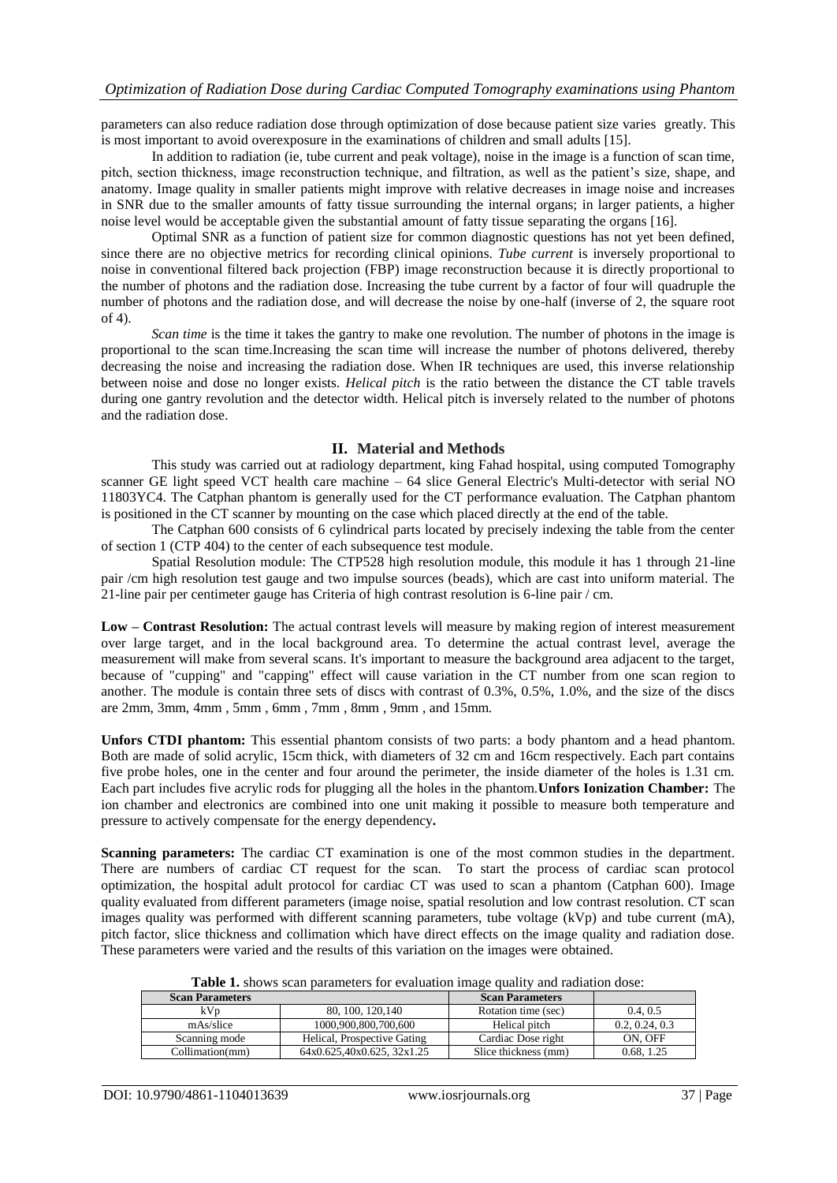parameters can also reduce radiation dose through optimization of dose because patient size varies greatly. This is most important to avoid overexposure in the examinations of children and small adults [15].

In addition to radiation (ie, tube current and peak voltage), noise in the image is a function of scan time, pitch, section thickness, image reconstruction technique, and filtration, as well as the patient's size, shape, and anatomy. Image quality in smaller patients might improve with relative decreases in image noise and increases in SNR due to the smaller amounts of fatty tissue surrounding the internal organs; in larger patients, a higher noise level would be acceptable given the substantial amount of fatty tissue separating the organs [16].

Optimal SNR as a function of patient size for common diagnostic questions has not yet been defined, since there are no objective metrics for recording clinical opinions. *Tube current* is inversely proportional to noise in conventional filtered back projection (FBP) image reconstruction because it is directly proportional to the number of photons and the radiation dose. Increasing the tube current by a factor of four will quadruple the number of photons and the radiation dose, and will decrease the noise by one-half (inverse of 2, the square root of 4).

*Scan time* is the time it takes the gantry to make one revolution. The number of photons in the image is proportional to the scan time.Increasing the scan time will increase the number of photons delivered, thereby decreasing the noise and increasing the radiation dose. When IR techniques are used, this inverse relationship between noise and dose no longer exists. *Helical pitch* is the ratio between the distance the CT table travels during one gantry revolution and the detector width. Helical pitch is inversely related to the number of photons and the radiation dose.

## **II. Material and Methods**

This study was carried out at radiology department, king Fahad hospital, using computed Tomography scanner GE light speed VCT health care machine – 64 slice General Electric's Multi-detector with serial NO 11803YC4. The Catphan phantom is generally used for the CT performance evaluation. The Catphan phantom is positioned in the CT scanner by mounting on the case which placed directly at the end of the table.

The Catphan 600 consists of 6 cylindrical parts located by precisely indexing the table from the center of section 1 (CTP 404) to the center of each subsequence test module.

Spatial Resolution module: The CTP528 high resolution module, this module it has 1 through 21-line pair /cm high resolution test gauge and two impulse sources (beads), which are cast into uniform material. The 21-line pair per centimeter gauge has Criteria of high contrast resolution is 6-line pair / cm.

**Low – Contrast Resolution:** The actual contrast levels will measure by making region of interest measurement over large target, and in the local background area. To determine the actual contrast level, average the measurement will make from several scans. It's important to measure the background area adjacent to the target, because of "cupping" and "capping" effect will cause variation in the CT number from one scan region to another. The module is contain three sets of discs with contrast of 0.3%, 0.5%, 1.0%, and the size of the discs are 2mm, 3mm, 4mm , 5mm , 6mm , 7mm , 8mm , 9mm , and 15mm.

**Unfors CTDI phantom:** This essential phantom consists of two parts: a body phantom and a head phantom. Both are made of solid acrylic, 15cm thick, with diameters of 32 cm and 16cm respectively. Each part contains five probe holes, one in the center and four around the perimeter, the inside diameter of the holes is 1.31 cm. Each part includes five acrylic rods for plugging all the holes in the phantom.**Unfors Ionization Chamber:** The ion chamber and electronics are combined into one unit making it possible to measure both temperature and pressure to actively compensate for the energy dependency**.**

**Scanning parameters:** The cardiac CT examination is one of the most common studies in the department. There are numbers of cardiac CT request for the scan. To start the process of cardiac scan protocol optimization, the hospital adult protocol for cardiac CT was used to scan a phantom (Catphan 600). Image quality evaluated from different parameters (image noise, spatial resolution and low contrast resolution. CT scan images quality was performed with different scanning parameters, tube voltage (kVp) and tube current (mA), pitch factor, slice thickness and collimation which have direct effects on the image quality and radiation dose. These parameters were varied and the results of this variation on the images were obtained.

|           | <b>Scan Parameters</b>   |                             | <b>Scan Parameters</b> |                |
|-----------|--------------------------|-----------------------------|------------------------|----------------|
|           | 80, 100, 120, 140<br>kVn |                             | Rotation time (sec)    | 0.4, 0.5       |
| mAs/slice |                          | 1000.900.800.700.600        | Helical pitch          | 0.2, 0.24, 0.3 |
|           | Scanning mode            | Helical, Prospective Gating | Cardiac Dose right     | ON. OFF        |
|           | Collimation(mm)          | 64x0.625.40x0.625, 32x1.25  | Slice thickness (mm)   | 0.68, 1.25     |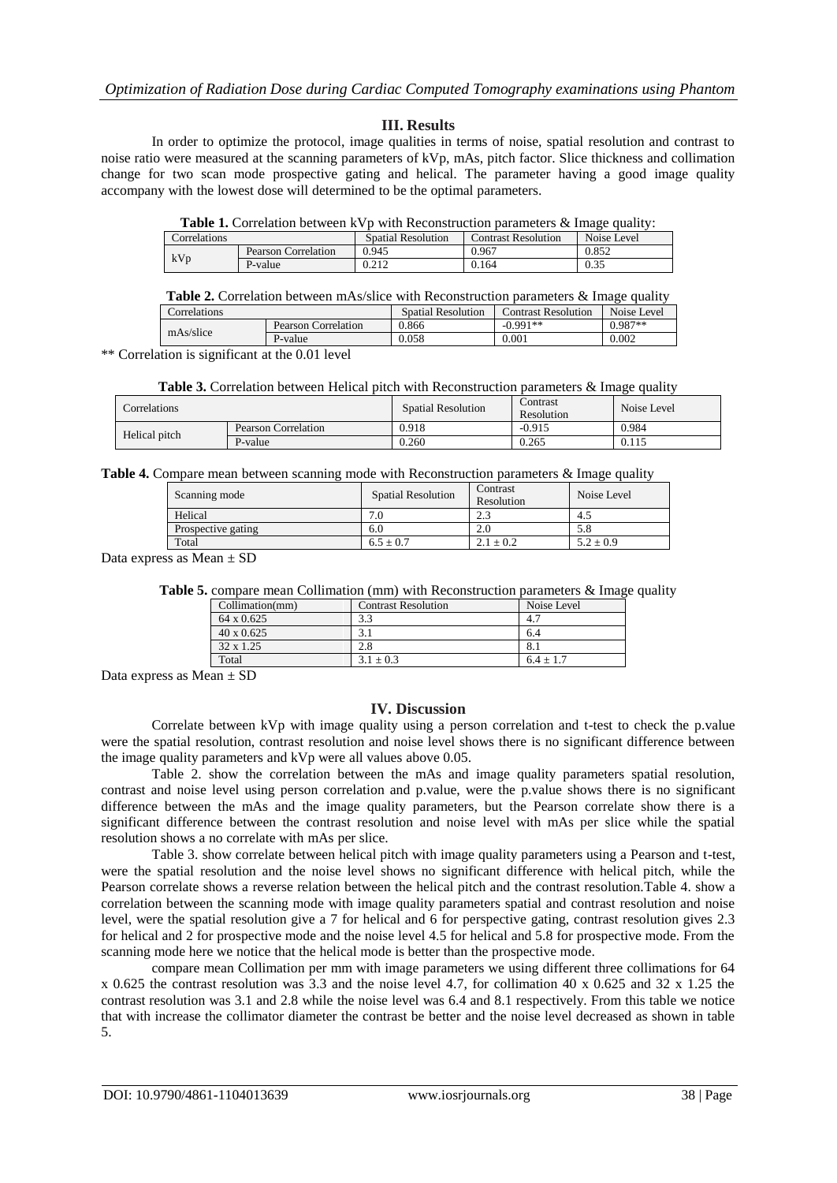### **III. Results**

In order to optimize the protocol, image qualities in terms of noise, spatial resolution and contrast to noise ratio were measured at the scanning parameters of kVp, mAs, pitch factor. Slice thickness and collimation change for two scan mode prospective gating and helical. The parameter having a good image quality accompany with the lowest dose will determined to be the optimal parameters.

| Table 1. Correlation between kVp with Reconstruction parameters & Image quality: |  |
|----------------------------------------------------------------------------------|--|
|----------------------------------------------------------------------------------|--|

| Correlations |                            | <b>Spatial Resolution</b> | <b>Contrast Resolution</b> | Noise Level |
|--------------|----------------------------|---------------------------|----------------------------|-------------|
| kVp          | <b>Pearson Correlation</b> | 0.945                     | 0.967                      | 0.852       |
|              | P-value                    | 0.212<br>0.414            | 0.164                      | 0.35        |

| <b>Table 2.</b> Correlation between mAs/slice with Reconstruction parameters & Image quality |                                                        |  |
|----------------------------------------------------------------------------------------------|--------------------------------------------------------|--|
| Correlations                                                                                 | Spatial Resolution   Contrast Resolution   Noise Level |  |

| Correlations |           | ODAHAI NESOHHHOIL   | Comitast Resolution | <b>INUISE LEVEL</b> |           |
|--------------|-----------|---------------------|---------------------|---------------------|-----------|
|              | mAs/slice | Pearson Correlation | 0.866               | -0.991**            | $0.987**$ |
|              |           | P-value             | 0.058               | 0.001               | 0.002     |

\*\* Correlation is significant at the 0.01 level

**Table 3.** Correlation between Helical pitch with Reconstruction parameters & Image quality

| Correlations  |                            | <b>Spatial Resolution</b> | .`ontrast<br><b>Resolution</b> | Noise Level |
|---------------|----------------------------|---------------------------|--------------------------------|-------------|
| Helical pitch | <b>Pearson Correlation</b> | 0.918                     | $-0.915$                       | 0.984       |
|               | P-value                    | 0.260                     | 0.265                          | 0.115       |

**Table 4.** Compare mean between scanning mode with Reconstruction parameters & Image quality

| Scanning mode      | <b>Spatial Resolution</b> | Contrast<br>Resolution | Noise Level   |
|--------------------|---------------------------|------------------------|---------------|
| Helical            | ۰U.                       |                        | 4.5           |
| Prospective gating | 6.0                       | 2.0                    | 5.8           |
| Total              | $6.5 \pm 0.7$             | $2.1 \pm 0.2$          | $5.2 \pm 0.9$ |

Data express as Mean  $\pm$  SD

**Table 5.** compare mean Collimation (mm) with Reconstruction parameters & Image quality

| Collision(mm)     | <b>Contrast Resolution</b> | Noise Level |
|-------------------|----------------------------|-------------|
| 64 x 0.625        | 3.3                        | 4.7         |
| $40 \times 0.625$ |                            | 6.4         |
| 32 x 1.25         | 2.8                        | 8.,         |
| Total             | $3.1 + 0.3$                | $64 + 1.7$  |

Data express as Mean  $\pm$  SD

### **IV. Discussion**

Correlate between kVp with image quality using a person correlation and t-test to check the p.value were the spatial resolution, contrast resolution and noise level shows there is no significant difference between the image quality parameters and kVp were all values above 0.05.

Table 2. show the correlation between the mAs and image quality parameters spatial resolution, contrast and noise level using person correlation and p.value, were the p.value shows there is no significant difference between the mAs and the image quality parameters, but the Pearson correlate show there is a significant difference between the contrast resolution and noise level with mAs per slice while the spatial resolution shows a no correlate with mAs per slice.

Table 3. show correlate between helical pitch with image quality parameters using a Pearson and t-test, were the spatial resolution and the noise level shows no significant difference with helical pitch, while the Pearson correlate shows a reverse relation between the helical pitch and the contrast resolution.Table 4. show a correlation between the scanning mode with image quality parameters spatial and contrast resolution and noise level, were the spatial resolution give a 7 for helical and 6 for perspective gating, contrast resolution gives 2.3 for helical and 2 for prospective mode and the noise level 4.5 for helical and 5.8 for prospective mode. From the scanning mode here we notice that the helical mode is better than the prospective mode.

compare mean Collimation per mm with image parameters we using different three collimations for 64 x 0.625 the contrast resolution was 3.3 and the noise level 4.7, for collimation 40 x 0.625 and 32 x 1.25 the contrast resolution was 3.1 and 2.8 while the noise level was 6.4 and 8.1 respectively. From this table we notice that with increase the collimator diameter the contrast be better and the noise level decreased as shown in table 5.